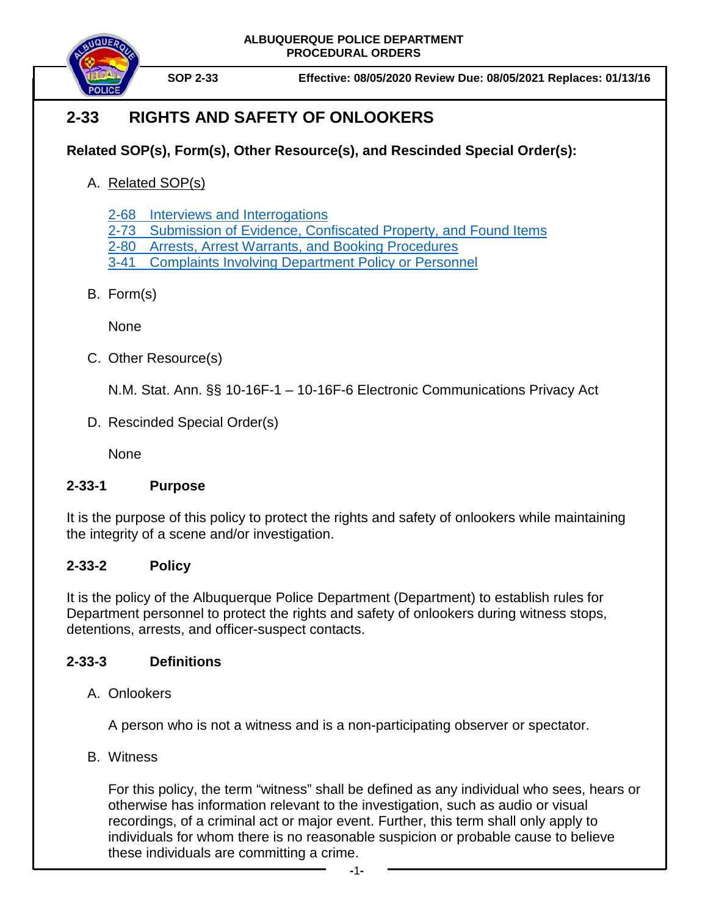**ALBUQUERQUE POLICE DEPARTMENT PROCEDURAL ORDERS**



**SOP 2-33 Effective: 08/05/2020 Review Due: 08/05/2021 Replaces: 01/13/16**

# **2-33 RIGHTS AND SAFETY OF ONLOOKERS**

### **Related SOP(s), Form(s), Other Resource(s), and Rescinded Special Order(s):**

A. Related SOP(s)

2-68 Interviews [and Interrogations](https://powerdms.com/link/COA/document/?id=106)

2-73 [Submission of Evidence, Confiscated Property, and Found Items](https://powerdms.com/link/COA/document/?id=88)

- 2-80 [Arrests, Arrest Warrants,](https://powerdms.com/link/COA/document/?id=97) and Booking Procedures
- 3-41 [Complaints Involving Department Policy](https://powerdms.com/link/COA/document/?id=184) or Personnel
- B. Form(s)

None

C. Other Resource(s)

N.M. Stat. Ann. §§ 10-16F-1 – 10-16F-6 Electronic Communications Privacy Act

D. Rescinded Special Order(s)

None

#### **2-33-1 Purpose**

It is the purpose of this policy to protect the rights and safety of onlookers while maintaining the integrity of a scene and/or investigation.

## **2-33-2 Policy**

It is the policy of the Albuquerque Police Department (Department) to establish rules for Department personnel to protect the rights and safety of onlookers during witness stops, detentions, arrests, and officer-suspect contacts.

#### **2-33-3 Definitions**

A. Onlookers

A person who is not a witness and is a non-participating observer or spectator.

B. Witness

For this policy, the term "witness" shall be defined as any individual who sees, hears or otherwise has information relevant to the investigation, such as audio or visual recordings, of a criminal act or major event. Further, this term shall only apply to individuals for whom there is no reasonable suspicion or probable cause to believe these individuals are committing a crime.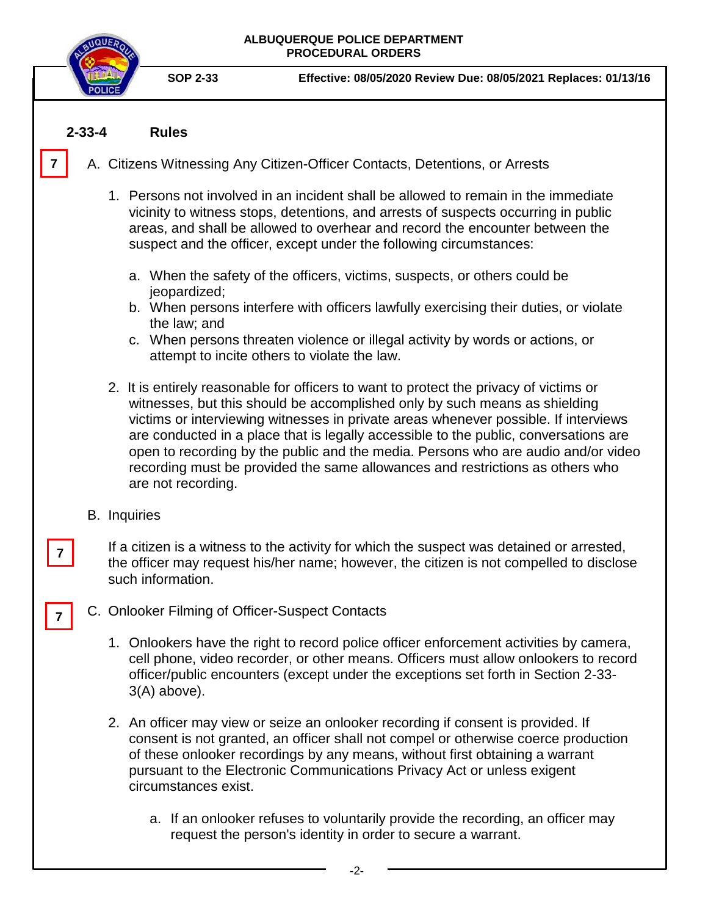

**SOP 2-33 Effective: 08/05/2020 Review Due: 08/05/2021 Replaces: 01/13/16**

#### **2-33-4 Rules**

**7**

- A. Citizens Witnessing Any Citizen-Officer Contacts, Detentions, or Arrests
	- 1. Persons not involved in an incident shall be allowed to remain in the immediate vicinity to witness stops, detentions, and arrests of suspects occurring in public areas, and shall be allowed to overhear and record the encounter between the suspect and the officer, except under the following circumstances:
		- a. When the safety of the officers, victims, suspects, or others could be jeopardized;
		- b. When persons interfere with officers lawfully exercising their duties, or violate the law; and
		- c. When persons threaten violence or illegal activity by words or actions, or attempt to incite others to violate the law.
	- 2. It is entirely reasonable for officers to want to protect the privacy of victims or witnesses, but this should be accomplished only by such means as shielding victims or interviewing witnesses in private areas whenever possible. If interviews are conducted in a place that is legally accessible to the public, conversations are open to recording by the public and the media. Persons who are audio and/or video recording must be provided the same allowances and restrictions as others who are not recording.
	- B. Inquiries

**7**

**7**

If a citizen is a witness to the activity for which the suspect was detained or arrested, the officer may request his/her name; however, the citizen is not compelled to disclose such information.

- C. Onlooker Filming of Officer-Suspect Contacts
	- 1. Onlookers have the right to record police officer enforcement activities by camera, cell phone, video recorder, or other means. Officers must allow onlookers to record officer/public encounters (except under the exceptions set forth in Section 2-33- 3(A) above).
	- 2. An officer may view or seize an onlooker recording if consent is provided. If consent is not granted, an officer shall not compel or otherwise coerce production of these onlooker recordings by any means, without first obtaining a warrant pursuant to the Electronic Communications Privacy Act or unless exigent circumstances exist.
		- a. If an onlooker refuses to voluntarily provide the recording, an officer may request the person's identity in order to secure a warrant.